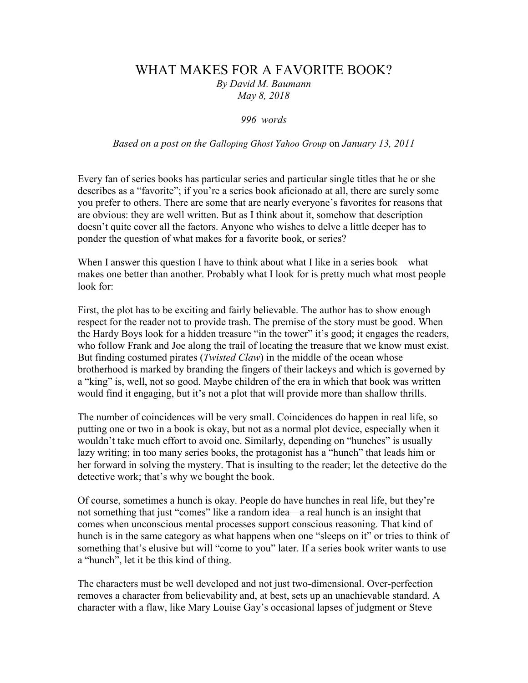## WHAT MAKES FOR A FAVORITE BOOK?

*By David M. Baumann May 8, 2018*

*996 words*

*Based on a post on the Galloping Ghost Yahoo Group* on *January 13, 2011*

Every fan of series books has particular series and particular single titles that he or she describes as a "favorite"; if you're a series book aficionado at all, there are surely some you prefer to others. There are some that are nearly everyone's favorites for reasons that are obvious: they are well written. But as I think about it, somehow that description doesn't quite cover all the factors. Anyone who wishes to delve a little deeper has to ponder the question of what makes for a favorite book, or series?

When I answer this question I have to think about what I like in a series book—what makes one better than another. Probably what I look for is pretty much what most people look for:

First, the plot has to be exciting and fairly believable. The author has to show enough respect for the reader not to provide trash. The premise of the story must be good. When the Hardy Boys look for a hidden treasure "in the tower" it's good; it engages the readers, who follow Frank and Joe along the trail of locating the treasure that we know must exist. But finding costumed pirates (*Twisted Claw*) in the middle of the ocean whose brotherhood is marked by branding the fingers of their lackeys and which is governed by a "king" is, well, not so good. Maybe children of the era in which that book was written would find it engaging, but it's not a plot that will provide more than shallow thrills.

The number of coincidences will be very small. Coincidences do happen in real life, so putting one or two in a book is okay, but not as a normal plot device, especially when it wouldn't take much effort to avoid one. Similarly, depending on "hunches" is usually lazy writing; in too many series books, the protagonist has a "hunch" that leads him or her forward in solving the mystery. That is insulting to the reader; let the detective do the detective work; that's why we bought the book.

Of course, sometimes a hunch is okay. People do have hunches in real life, but they're not something that just "comes" like a random idea—a real hunch is an insight that comes when unconscious mental processes support conscious reasoning. That kind of hunch is in the same category as what happens when one "sleeps on it" or tries to think of something that's elusive but will "come to you" later. If a series book writer wants to use a "hunch", let it be this kind of thing.

The characters must be well developed and not just two-dimensional. Over-perfection removes a character from believability and, at best, sets up an unachievable standard. A character with a flaw, like Mary Louise Gay's occasional lapses of judgment or Steve